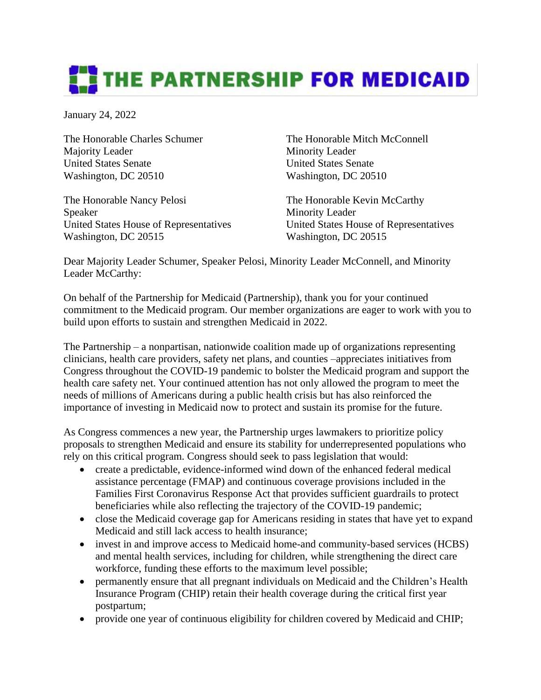## **THE PARTNERSHIP FOR MEDICAID**

January 24, 2022

The Honorable Charles Schumer The Honorable Mitch McConnell Majority Leader Minority Leader United States Senate United States Senate Washington, DC 20510 Washington, DC 20510

The Honorable Nancy Pelosi The Honorable Kevin McCarthy Speaker Minority Leader United States House of Representatives United States House of Representatives Washington, DC 20515 Washington, DC 20515

Dear Majority Leader Schumer, Speaker Pelosi, Minority Leader McConnell, and Minority Leader McCarthy:

On behalf of the Partnership for Medicaid (Partnership), thank you for your continued commitment to the Medicaid program. Our member organizations are eager to work with you to build upon efforts to sustain and strengthen Medicaid in 2022.

The Partnership – a nonpartisan, nationwide coalition made up of organizations representing clinicians, health care providers, safety net plans, and counties –appreciates initiatives from Congress throughout the COVID-19 pandemic to bolster the Medicaid program and support the health care safety net. Your continued attention has not only allowed the program to meet the needs of millions of Americans during a public health crisis but has also reinforced the importance of investing in Medicaid now to protect and sustain its promise for the future.

As Congress commences a new year, the Partnership urges lawmakers to prioritize policy proposals to strengthen Medicaid and ensure its stability for underrepresented populations who rely on this critical program. Congress should seek to pass legislation that would:

- create a predictable, evidence-informed wind down of the enhanced federal medical assistance percentage (FMAP) and continuous coverage provisions included in the Families First Coronavirus Response Act that provides sufficient guardrails to protect beneficiaries while also reflecting the trajectory of the COVID-19 pandemic;
- close the Medicaid coverage gap for Americans residing in states that have yet to expand Medicaid and still lack access to health insurance;
- invest in and improve access to Medicaid home-and community-based services (HCBS) and mental health services, including for children, while strengthening the direct care workforce, funding these efforts to the maximum level possible;
- permanently ensure that all pregnant individuals on Medicaid and the Children's Health Insurance Program (CHIP) retain their health coverage during the critical first year postpartum;
- provide one year of continuous eligibility for children covered by Medicaid and CHIP;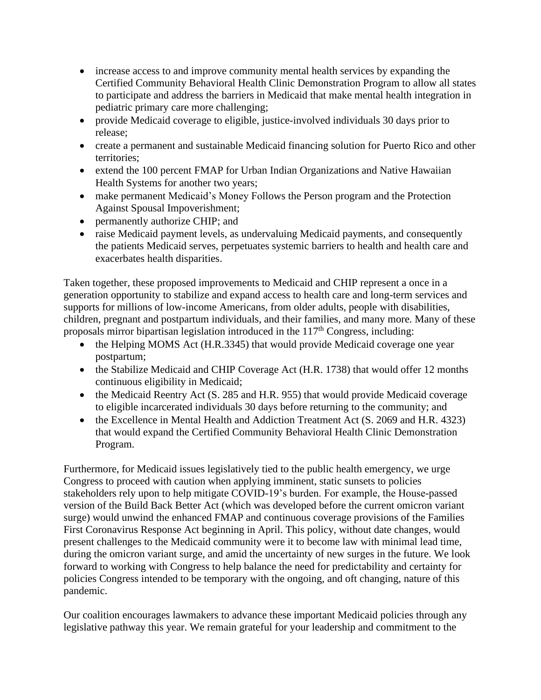- increase access to and improve community mental health services by expanding the Certified Community Behavioral Health Clinic Demonstration Program to allow all states to participate and address the barriers in Medicaid that make mental health integration in pediatric primary care more challenging;
- provide Medicaid coverage to eligible, justice-involved individuals 30 days prior to release;
- create a permanent and sustainable Medicaid financing solution for Puerto Rico and other territories;
- extend the 100 percent FMAP for Urban Indian Organizations and Native Hawaiian Health Systems for another two years;
- make permanent Medicaid's Money Follows the Person program and the Protection Against Spousal Impoverishment;
- permanently authorize CHIP; and
- raise Medicaid payment levels, as undervaluing Medicaid payments, and consequently the patients Medicaid serves, perpetuates systemic barriers to health and health care and exacerbates health disparities.

Taken together, these proposed improvements to Medicaid and CHIP represent a once in a generation opportunity to stabilize and expand access to health care and long-term services and supports for millions of low-income Americans, from older adults, people with disabilities, children, pregnant and postpartum individuals, and their families, and many more. Many of these proposals mirror bipartisan legislation introduced in the  $117<sup>th</sup>$  Congress, including:

- the Helping MOMS Act (H.R.3345) that would provide Medicaid coverage one year postpartum;
- the Stabilize Medicaid and CHIP Coverage Act (H.R. 1738) that would offer 12 months continuous eligibility in Medicaid;
- the Medicaid Reentry Act (S. 285 and H.R. 955) that would provide Medicaid coverage to eligible incarcerated individuals 30 days before returning to the community; and
- the Excellence in Mental Health and Addiction Treatment Act (S. 2069 and H.R. 4323) that would expand the Certified Community Behavioral Health Clinic Demonstration Program.

Furthermore, for Medicaid issues legislatively tied to the public health emergency, we urge Congress to proceed with caution when applying imminent, static sunsets to policies stakeholders rely upon to help mitigate COVID-19's burden. For example, the House-passed version of the Build Back Better Act (which was developed before the current omicron variant surge) would unwind the enhanced FMAP and continuous coverage provisions of the Families First Coronavirus Response Act beginning in April. This policy, without date changes, would present challenges to the Medicaid community were it to become law with minimal lead time, during the omicron variant surge, and amid the uncertainty of new surges in the future. We look forward to working with Congress to help balance the need for predictability and certainty for policies Congress intended to be temporary with the ongoing, and oft changing, nature of this pandemic.

Our coalition encourages lawmakers to advance these important Medicaid policies through any legislative pathway this year. We remain grateful for your leadership and commitment to the